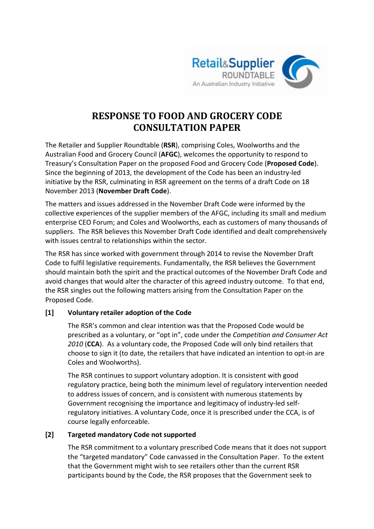

# **RESPONSE TO FOOD AND GROCERY CODE CONSULTATION PAPER**

The Retailer and Supplier Roundtable (**RSR**), comprising Coles, Woolworths and the Australian Food and Grocery Council (**AFGC**), welcomes the opportunity to respond to Treasury's Consultation Paper on the proposed Food and Grocery Code (**Proposed Code**). Since the beginning of 2013, the development of the Code has been an industry-led initiative by the RSR, culminating in RSR agreement on the terms of a draft Code on 18 November 2013 (**November Draft Code**).

The matters and issues addressed in the November Draft Code were informed by the collective experiences of the supplier members of the AFGC, including its small and medium enterprise CEO Forum; and Coles and Woolworths, each as customers of many thousands of suppliers. The RSR believes this November Draft Code identified and dealt comprehensively with issues central to relationships within the sector.

The RSR has since worked with government through 2014 to revise the November Draft Code to fulfil legislative requirements. Fundamentally, the RSR believes the Government should maintain both the spirit and the practical outcomes of the November Draft Code and avoid changes that would alter the character of this agreed industry outcome. To that end, the RSR singles out the following matters arising from the Consultation Paper on the Proposed Code.

## **[1] Voluntary retailer adoption of the Code**

The RSR's common and clear intention was that the Proposed Code would be prescribed as a voluntary, or "opt in", code under the *Competition and Consumer Act 2010* (**CCA**). As a voluntary code, the Proposed Code will only bind retailers that choose to sign it (to date, the retailers that have indicated an intention to opt-in are Coles and Woolworths).

The RSR continues to support voluntary adoption. It is consistent with good regulatory practice, being both the minimum level of regulatory intervention needed to address issues of concern, and is consistent with numerous statements by Government recognising the importance and legitimacy of industry-led selfregulatory initiatives. A voluntary Code, once it is prescribed under the CCA, is of course legally enforceable.

## **[2] Targeted mandatory Code not supported**

The RSR commitment to a voluntary prescribed Code means that it does not support the "targeted mandatory" Code canvassed in the Consultation Paper. To the extent that the Government might wish to see retailers other than the current RSR participants bound by the Code, the RSR proposes that the Government seek to